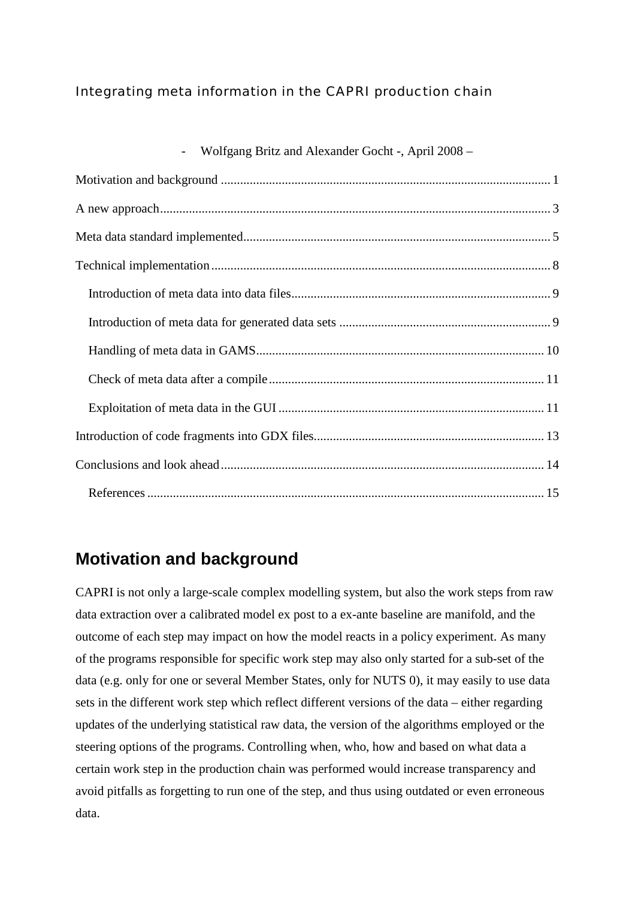#### Integrating meta information in the CAPRI production chain

| Wolfgang Britz and Alexander Gocht -, April 2008 – |  |
|----------------------------------------------------|--|
|                                                    |  |
|                                                    |  |
|                                                    |  |
|                                                    |  |
|                                                    |  |
|                                                    |  |
|                                                    |  |
|                                                    |  |
|                                                    |  |
|                                                    |  |
|                                                    |  |
|                                                    |  |

# **Motivation and background**

CAPRI is not only a large-scale complex modelling system, but also the work steps from raw data extraction over a calibrated model ex post to a ex-ante baseline are manifold, and the outcome of each step may impact on how the model reacts in a policy experiment. As many of the programs responsible for specific work step may also only started for a sub-set of the data (e.g. only for one or several Member States, only for NUTS 0), it may easily to use data sets in the different work step which reflect different versions of the data – either regarding updates of the underlying statistical raw data, the version of the algorithms employed or the steering options of the programs. Controlling when, who, how and based on what data a certain work step in the production chain was performed would increase transparency and avoid pitfalls as forgetting to run one of the step, and thus using outdated or even erroneous data.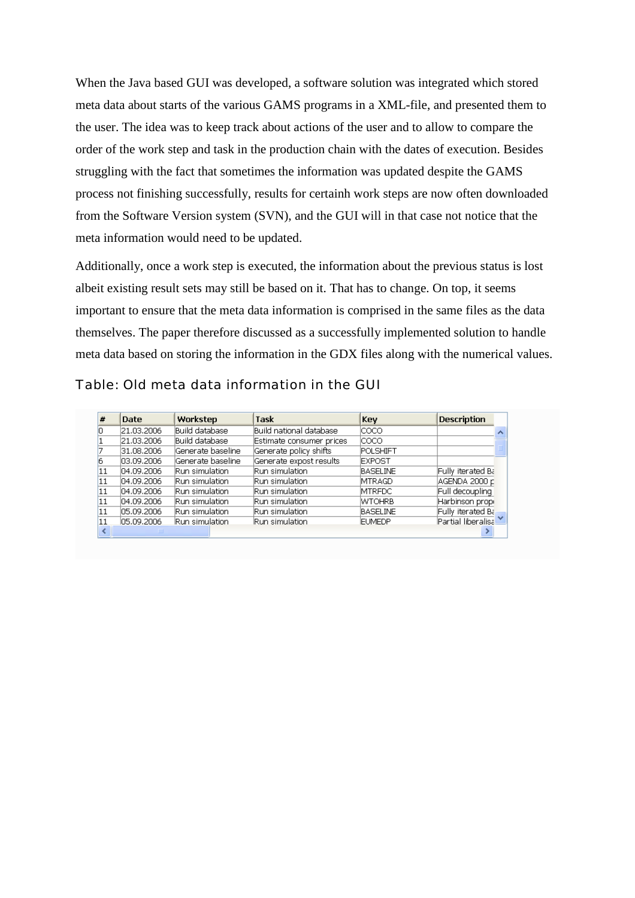When the Java based GUI was developed, a software solution was integrated which stored meta data about starts of the various GAMS programs in a XML-file, and presented them to the user. The idea was to keep track about actions of the user and to allow to compare the order of the work step and task in the production chain with the dates of execution. Besides struggling with the fact that sometimes the information was updated despite the GAMS process not finishing successfully, results for certainh work steps are now often downloaded from the Software Version system (SVN), and the GUI will in that case not notice that the meta information would need to be updated.

Additionally, once a work step is executed, the information about the previous status is lost albeit existing result sets may still be based on it. That has to change. On top, it seems important to ensure that the meta data information is comprised in the same files as the data themselves. The paper therefore discussed as a successfully implemented solution to handle meta data based on storing the information in the GDX files along with the numerical values.

Table: Old meta data information in the GUI

| $\#$ | <b>Date</b>  | Workstep           | <b>Task</b>                              | Key             | <b>Description</b> |  |
|------|--------------|--------------------|------------------------------------------|-----------------|--------------------|--|
|      | 21.03.2006   | Build database     | Build national database                  | Icoco           |                    |  |
|      | 21.03.2006   | Build database     | Estimate consumer prices                 | lcoco.          |                    |  |
|      | 31.08.2006   | Generate baseline  | Generate policy shifts                   | POLSHIFT        |                    |  |
| 6    | 03.09.2006   | lGenerate baseline | Generate expost results<br><b>EXPOST</b> |                 |                    |  |
| '11  | 04.09.2006   | Run simulation     | Run simulation.                          | <b>BASELINE</b> | Fully iterated Ba  |  |
| 11   | [04.09.2006] | Run simulation     | Run simulation.                          | <b>MTRAGD</b>   | AGENDA 2000 p      |  |
| 11   | 04.09.2006   | Run simulation.    | Run simulation.                          | <b>MTRFDC</b>   | Full decoupling    |  |
| 11   | 04.09.2006   | Run simulation     | Run simulation.                          | <b>WTOHRB</b>   | Harbinson propi    |  |
| 11   | 05.09.2006   | Run simulation     | Run simulation                           | <b>BASELINE</b> | Fully iterated Ba  |  |
| 11   | 05.09.2006   | Run simulation     | Run simulation.                          | <b>EUMEDP</b>   | Partial liberalisa |  |
|      | <b>TIME</b>  |                    |                                          |                 |                    |  |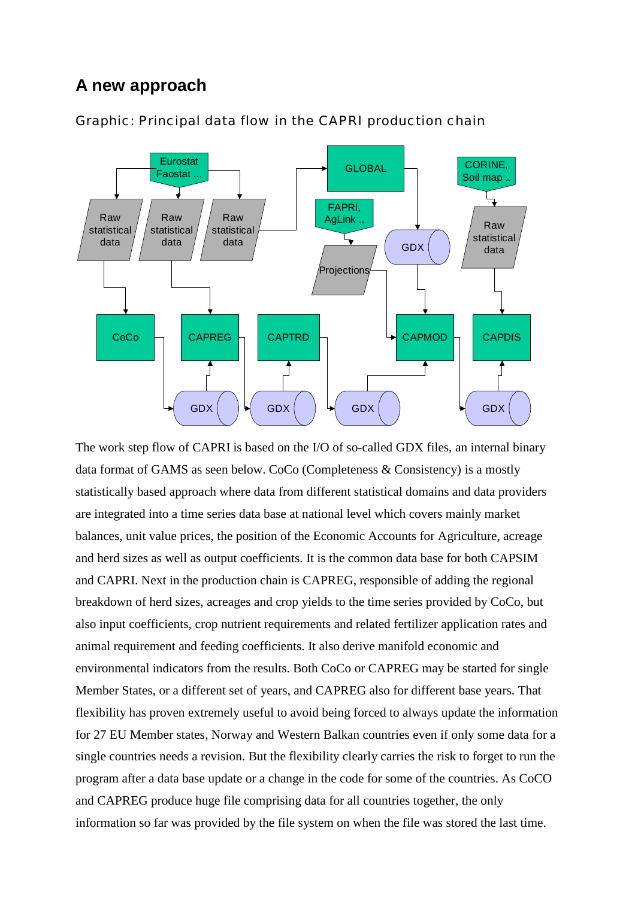## **A new approach**



Graphic: Principal data flow in the CAPRI production chain

The work step flow of CAPRI is based on the I/O of so-called GDX files, an internal binary data format of GAMS as seen below. CoCo (Completeness & Consistency) is a mostly statistically based approach where data from different statistical domains and data providers are integrated into a time series data base at national level which covers mainly market balances, unit value prices, the position of the Economic Accounts for Agriculture, acreage and herd sizes as well as output coefficients. It is the common data base for both CAPSIM and CAPRI. Next in the production chain is CAPREG, responsible of adding the regional breakdown of herd sizes, acreages and crop yields to the time series provided by CoCo, but also input coefficients, crop nutrient requirements and related fertilizer application rates and animal requirement and feeding coefficients. It also derive manifold economic and environmental indicators from the results. Both CoCo or CAPREG may be started for single Member States, or a different set of years, and CAPREG also for different base years. That flexibility has proven extremely useful to avoid being forced to always update the information for 27 EU Member states, Norway and Western Balkan countries even if only some data for a single countries needs a revision. But the flexibility clearly carries the risk to forget to run the program after a data base update or a change in the code for some of the countries. As CoCO and CAPREG produce huge file comprising data for all countries together, the only information so far was provided by the file system on when the file was stored the last time.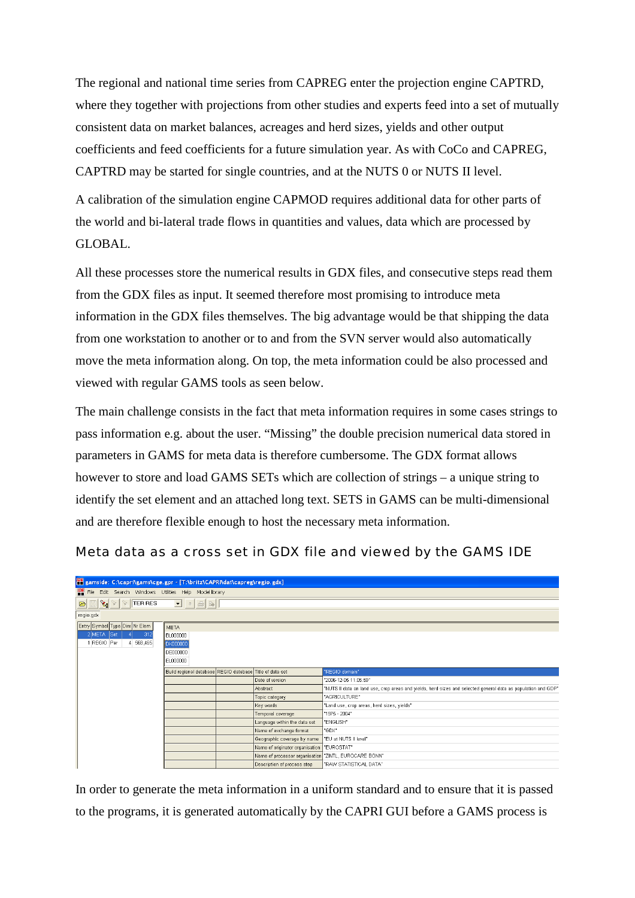The regional and national time series from CAPREG enter the projection engine CAPTRD, where they together with projections from other studies and experts feed into a set of mutually consistent data on market balances, acreages and herd sizes, yields and other output coefficients and feed coefficients for a future simulation year. As with CoCo and CAPREG, CAPTRD may be started for single countries, and at the NUTS 0 or NUTS II level.

A calibration of the simulation engine CAPMOD requires additional data for other parts of the world and bi-lateral trade flows in quantities and values, data which are processed by GLOBAL.

All these processes store the numerical results in GDX files, and consecutive steps read them from the GDX files as input. It seemed therefore most promising to introduce meta information in the GDX files themselves. The big advantage would be that shipping the data from one workstation to another or to and from the SVN server would also automatically move the meta information along. On top, the meta information could be also processed and viewed with regular GAMS tools as seen below.

The main challenge consists in the fact that meta information requires in some cases strings to pass information e.g. about the user. "Missing" the double precision numerical data stored in parameters in GAMS for meta data is therefore cumbersome. The GDX format allows however to store and load GAMS SETs which are collection of strings – a unique string to identify the set element and an attached long text. SETS in GAMS can be multi-dimensional and are therefore flexible enough to host the necessary meta information.

Meta data as a cross set in GDX file and viewed by the GAMS IDE

| <b>1996</b> gamside: C:\capri\gams\cge.gpr - [T:\britz\CAPRI\dat\capreg\regio.gdx] |                                                          |                                                       |                                                                                                               |
|------------------------------------------------------------------------------------|----------------------------------------------------------|-------------------------------------------------------|---------------------------------------------------------------------------------------------------------------|
| <b>IDE</b> File Edit Search Windows Utilities Help Model library                   |                                                          |                                                       |                                                                                                               |
| $\mathbf{B} \times \mathbf{C}$ TERRES                                              | $\Box$ a $\oplus$ b                                      |                                                       |                                                                                                               |
| regio.gdx                                                                          |                                                          |                                                       |                                                                                                               |
| Entry Symbol Type Dim Nr Elem                                                      | <b>META</b>                                              |                                                       |                                                                                                               |
| 2 META Set<br>312                                                                  | <b>BL000000</b>                                          |                                                       |                                                                                                               |
| 1 REGIO Par<br>4 568,465                                                           | DK000000                                                 |                                                       |                                                                                                               |
|                                                                                    | <b>DE000000</b>                                          |                                                       |                                                                                                               |
|                                                                                    | EL000000                                                 |                                                       |                                                                                                               |
|                                                                                    | Build regional database REGIO database Title of data set |                                                       | "REGIO domain"                                                                                                |
|                                                                                    |                                                          | Date of version                                       | "2006-12-05 11:05:59"                                                                                         |
|                                                                                    |                                                          | Abstract                                              | "NUTS II data on land use, crop areas and yields, herd sizes and selected general data as population and GDP" |
|                                                                                    |                                                          | Topic category                                        | "AGRICULTURE"                                                                                                 |
|                                                                                    |                                                          | Key words                                             | 'Land use, crop areas, herd sizes, vields"                                                                    |
|                                                                                    |                                                          | Temporal coverage                                     | "1975 - 2004"                                                                                                 |
|                                                                                    |                                                          | Language within the data set                          | "ENGLISH"                                                                                                     |
|                                                                                    |                                                          | Name of exchange format                               | "GDX"                                                                                                         |
|                                                                                    |                                                          | Geographic coverage by name                           | "EU at NUTS II level"                                                                                         |
|                                                                                    |                                                          | Name of originator organisation "EUROSTAT"            |                                                                                                               |
|                                                                                    |                                                          | Name of processor organisation "ZINTL, EUROCARE BONN" |                                                                                                               |
|                                                                                    |                                                          | Description of process step                           | "RAW STATISTICAL DATA"                                                                                        |

In order to generate the meta information in a uniform standard and to ensure that it is passed to the programs, it is generated automatically by the CAPRI GUI before a GAMS process is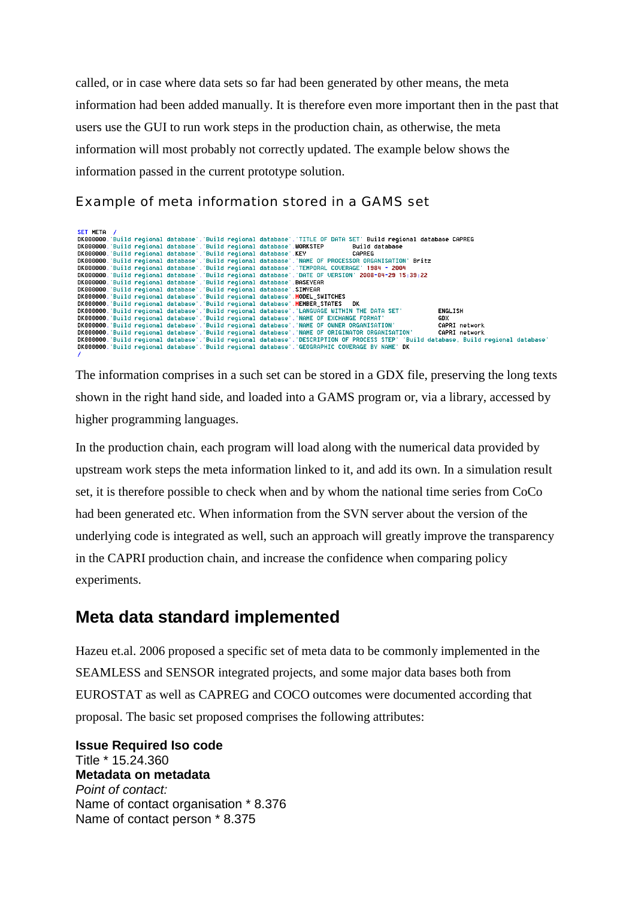called, or in case where data sets so far had been generated by other means, the meta information had been added manually. It is therefore even more important then in the past that users use the GUI to run work steps in the production chain, as otherwise, the meta information will most probably not correctly updated. The example below shows the information passed in the current prototype solution.

Example of meta information stored in a GAMS set

| SET META / |  |                                                                       |  |                                                                                                                                      |
|------------|--|-----------------------------------------------------------------------|--|--------------------------------------------------------------------------------------------------------------------------------------|
|            |  |                                                                       |  | DK000000. Build regional database'. Build regional database'. TITLE OF DATA SET' Build regional database CAPREG                      |
|            |  |                                                                       |  | DK000000. Build regional database . Build regional database . WORKSTEP<br>Build database                                             |
|            |  | DK000000. Build regional database'. Build regional database'. KEY     |  | CAPREG                                                                                                                               |
|            |  |                                                                       |  | DK000000. Build regional database'. Build regional database'. NAME OF PROCESSOR ORGANISATION' Britz                                  |
|            |  |                                                                       |  | DK000000. 'Build regional database'. 'Build regional database'. 'TEMPORAL COUERAGE' 1984 - 2004                                      |
|            |  |                                                                       |  | DK000000. Build regional database', Build regional database', DATE OF UERSION' 2008-04-29 15:39:22                                   |
|            |  |                                                                       |  | DK000000. Build regional database '. Build regional database '. BASEYEAR                                                             |
|            |  | DK000000. Build regional database'. Build regional database'. SIMYEAR |  |                                                                                                                                      |
|            |  |                                                                       |  | DK000000. Build regional database'. Build regional database'. MODEL SWITCHES                                                         |
|            |  |                                                                       |  | DK000000. Build regional database'. Build regional database'. MEMBER STATES DK                                                       |
|            |  |                                                                       |  | "DK000000. 'Build regional database'. 'Build regional database'. 'LANGUAGE WITHIN THE DATA SET<br><b>ENGLISH</b>                     |
|            |  |                                                                       |  | DK000000. Build regional database'. Build regional database'. NAME OF EXCHANGE FORMAT'<br>GDX                                        |
|            |  |                                                                       |  | DK000000. Build regional database : Build regional database : NAME OF OWNER ORGANISATION<br>CAPRI network                            |
|            |  |                                                                       |  | DK000000. Build regional database'. Build regional database'. NAME OF ORIGINATOR ORGANISATION'<br>CAPRI network                      |
|            |  |                                                                       |  | DK000000. Build regional database . Build regional database . DESCRIPTION OF PROCESS STEP 'Build database. Build regional database ' |
|            |  |                                                                       |  | DK000000. Build regional database'. Build regional database'. GEOGRAPHIC COUERAGE BY NAME' DK                                        |
|            |  |                                                                       |  |                                                                                                                                      |

The information comprises in a such set can be stored in a GDX file, preserving the long texts shown in the right hand side, and loaded into a GAMS program or, via a library, accessed by higher programming languages.

In the production chain, each program will load along with the numerical data provided by upstream work steps the meta information linked to it, and add its own. In a simulation result set, it is therefore possible to check when and by whom the national time series from CoCo had been generated etc. When information from the SVN server about the version of the underlying code is integrated as well, such an approach will greatly improve the transparency in the CAPRI production chain, and increase the confidence when comparing policy experiments.

## **Meta data standard implemented**

Hazeu et.al. 2006 proposed a specific set of meta data to be commonly implemented in the SEAMLESS and SENSOR integrated projects, and some major data bases both from EUROSTAT as well as CAPREG and COCO outcomes were documented according that proposal. The basic set proposed comprises the following attributes:

**Issue Required Iso code** Title \* 15.24.360 **Metadata on metadata** *Point of contact:* Name of contact organisation \* 8.376 Name of contact person \* 8.375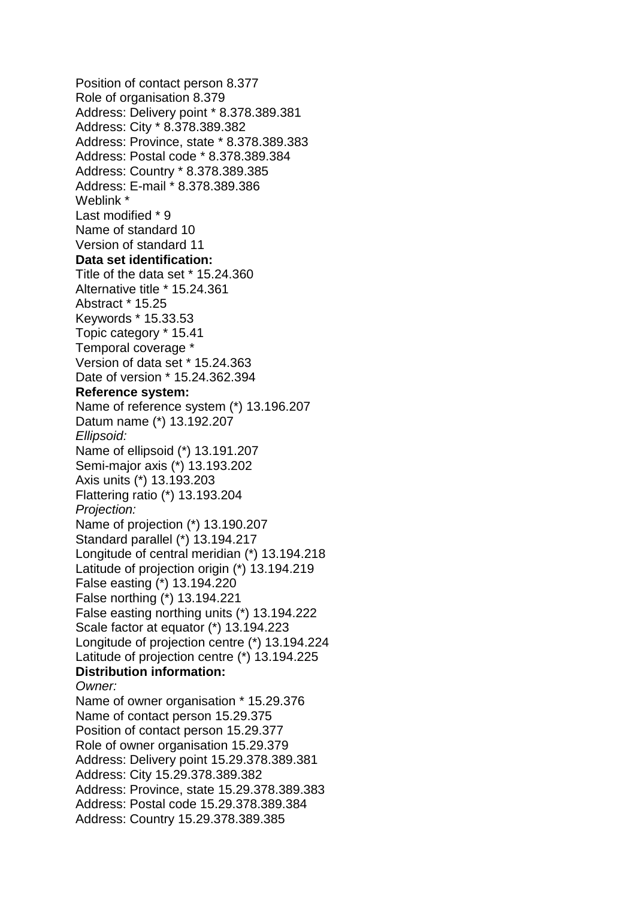Position of contact person 8.377 Role of organisation 8.379 Address: Delivery point \* 8.378.389.381 Address: City \* 8.378.389.382 Address: Province, state \* 8.378.389.383 Address: Postal code \* 8.378.389.384 Address: Country \* 8.378.389.385 Address: E-mail \* 8.378.389.386 Weblink \* Last modified \* 9 Name of standard 10 Version of standard 11 **Data set identification:** Title of the data set \* 15.24.360 Alternative title \* 15.24.361 Abstract \* 15.25 Keywords \* 15.33.53 Topic category \* 15.41 Temporal coverage \* Version of data set \* 15.24.363 Date of version \* 15.24.362.394 **Reference system:** Name of reference system (\*) 13.196.207 Datum name (\*) 13.192.207 *Ellipsoid:* Name of ellipsoid (\*) 13.191.207 Semi-major axis (\*) 13.193.202 Axis units (\*) 13.193.203 Flattering ratio (\*) 13.193.204 *Projection:* Name of projection (\*) 13.190.207 Standard parallel (\*) 13.194.217 Longitude of central meridian (\*) 13.194.218 Latitude of projection origin (\*) 13.194.219 False easting (\*) 13.194.220 False northing (\*) 13.194.221 False easting northing units (\*) 13.194.222 Scale factor at equator (\*) 13.194.223 Longitude of projection centre (\*) 13.194.224 Latitude of projection centre (\*) 13.194.225 **Distribution information:** *Owner:* Name of owner organisation \* 15.29.376 Name of contact person 15.29.375 Position of contact person 15.29.377 Role of owner organisation 15.29.379 Address: Delivery point 15.29.378.389.381 Address: City 15.29.378.389.382 Address: Province, state 15.29.378.389.383 Address: Postal code 15.29.378.389.384 Address: Country 15.29.378.389.385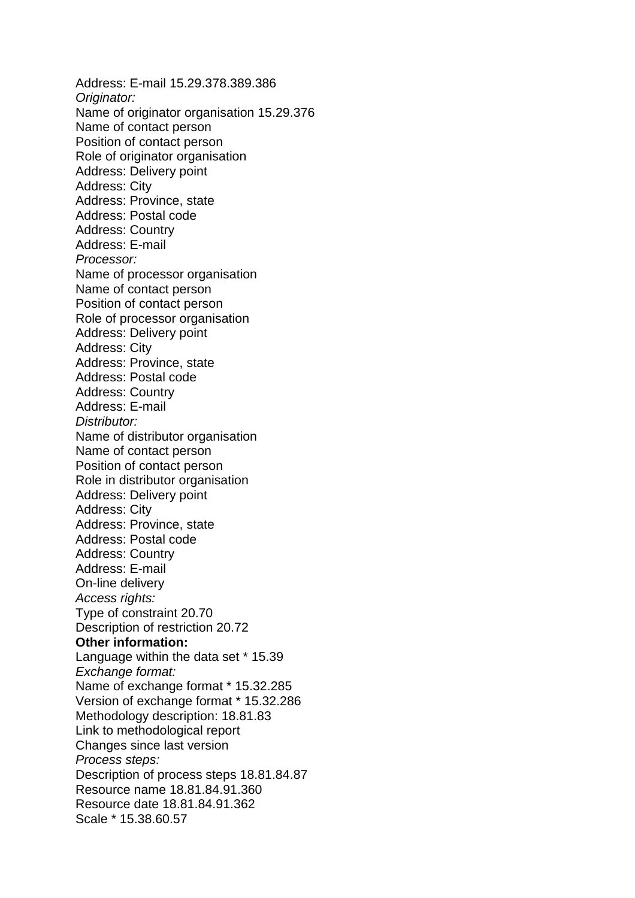Address: E-mail 15.29.378.389.386 *Originator:* Name of originator organisation 15.29.376 Name of contact person Position of contact person Role of originator organisation Address: Delivery point Address: City Address: Province, state Address: Postal code Address: Country Address: E-mail *Processor:* Name of processor organisation Name of contact person Position of contact person Role of processor organisation Address: Delivery point Address: City Address: Province, state Address: Postal code Address: Country Address: E-mail *Distributor:* Name of distributor organisation Name of contact person Position of contact person Role in distributor organisation Address: Delivery point Address: City Address: Province, state Address: Postal code Address: Country Address: E-mail On-line delivery *Access rights:* Type of constraint 20.70 Description of restriction 20.72 **Other information:** Language within the data set \* 15.39 *Exchange format:* Name of exchange format \* 15.32.285 Version of exchange format \* 15.32.286 Methodology description: 18.81.83 Link to methodological report Changes since last version *Process steps:* Description of process steps 18.81.84.87 Resource name 18.81.84.91.360 Resource date 18.81.84.91.362 Scale \* 15.38.60.57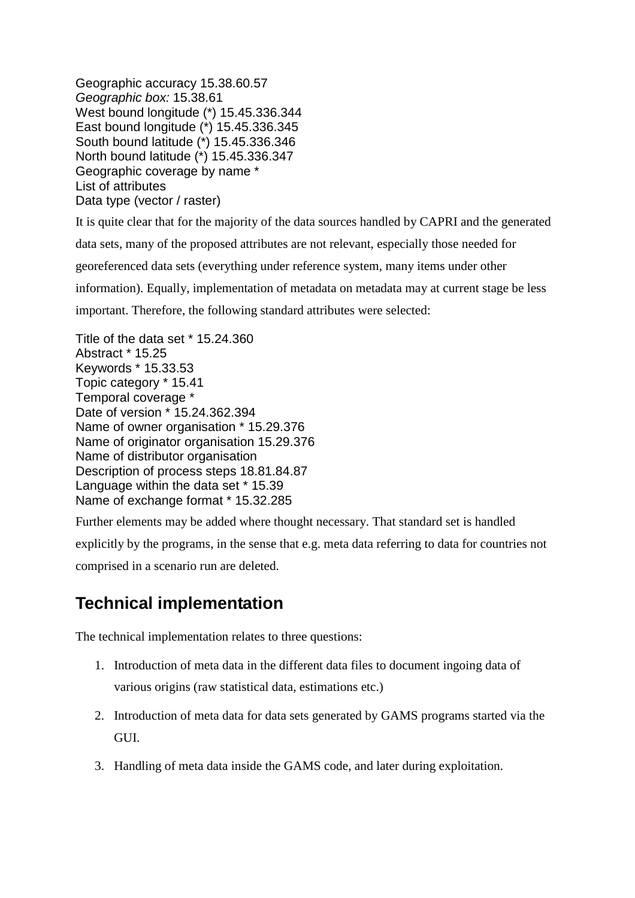Geographic accuracy 15.38.60.57 *Geographic box:* 15.38.61 West bound longitude (\*) 15.45.336.344 East bound longitude (\*) 15.45.336.345 South bound latitude (\*) 15.45.336.346 North bound latitude (\*) 15.45.336.347 Geographic coverage by name \* List of attributes Data type (vector / raster)

It is quite clear that for the majority of the data sources handled by CAPRI and the generated

data sets, many of the proposed attributes are not relevant, especially those needed for

georeferenced data sets (everything under reference system, many items under other

information). Equally, implementation of metadata on metadata may at current stage be less

important. Therefore, the following standard attributes were selected:

Title of the data set \* 15.24.360 Abstract \* 15.25 Keywords \* 15.33.53 Topic category \* 15.41 Temporal coverage \* Date of version \* 15.24.362.394 Name of owner organisation \* 15.29.376 Name of originator organisation 15.29.376 Name of distributor organisation Description of process steps 18.81.84.87 Language within the data set \* 15.39 Name of exchange format \* 15.32.285

Further elements may be added where thought necessary. That standard set is handled explicitly by the programs, in the sense that e.g. meta data referring to data for countries not

comprised in a scenario run are deleted.

### **Technical implementation**

The technical implementation relates to three questions:

- 1. Introduction of meta data in the different data files to document ingoing data of various origins (raw statistical data, estimations etc.)
- 2. Introduction of meta data for data sets generated by GAMS programs started via the GUI.
- 3. Handling of meta data inside the GAMS code, and later during exploitation.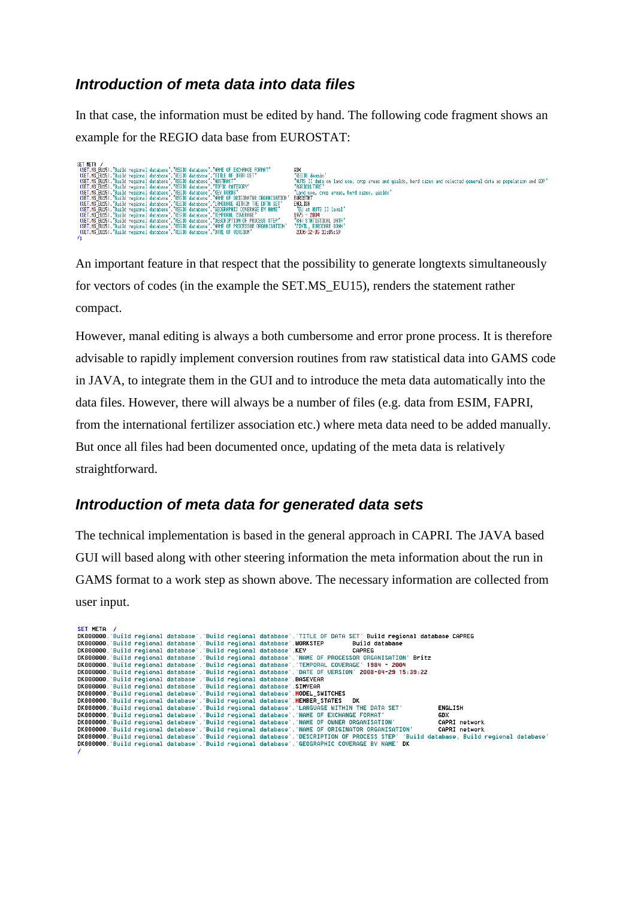### *Introduction of meta data into data files*

In that case, the information must be edited by hand. The following code fragment shows an example for the REGIO data base from EUROSTAT:

|   | SET HETA /                                                                                     |                                                                                                               |
|---|------------------------------------------------------------------------------------------------|---------------------------------------------------------------------------------------------------------------|
|   | (SET.HS EU15).'Build regional database'.'REGIO database'.'NAME OF EXCHANGE FORMAT'             | GDX                                                                                                           |
|   | (SET.MS EU15). Build regional database'. REGIO database'. TITLE OF DATH SET'                   | 'REGIO donain'                                                                                                |
|   | (SET.MS EU15). Build regional database'. REGIO database'. 'ABSTRACT'                           | "NUTS II data on land use, crop areas and yields, herd sizes and selected general data as population and GDP" |
|   | (SET.MS EU15). 'Build regional database'. 'REGIO database'. 'TOPIC CATEGORY'                   | "AGRICULTURE"                                                                                                 |
|   | (SET.MS EU15). Build regional database'. REGIO database'. REY HORDS'                           | 'Land use, crop areas, herd sizes, yields'                                                                    |
|   | "(SET.MS EU15). 'Build regional database'. 'REGIO database'. 'NAME OF ORIGINATOR ORGANISATION' | EUROSTAT                                                                                                      |
|   | (SET.MS EU15). 'Build regional database'. 'REGIO database'. 'LANGUAGE HITHIN THE DATA SET'     | ENGL ISH                                                                                                      |
|   | (SET.MS EU15).'Build regional database'.'REGIO database'.'GEOGRAPHIC COVERAGE BY NAME'         | 'EU at NUTS II level'                                                                                         |
|   | (SET.MS EU15). 'Build regional database', 'REGIO database', 'TEMPORAL COVERAGE'                | $1975 - 2004$                                                                                                 |
|   | (SET.MS EU15).'Build regional database'.'REGIO database'.'DESCRIPTION OF PROCESS STEP'         | 'RAW STATISTICAL DATA'                                                                                        |
|   | "(SET.MS EU15). 'Build regional database'. 'REGIO database'. 'NAME OF PROCESSOR ORGANISATION'  | 'ZINTL, EUROCARE BONN'                                                                                        |
|   | (SET.MS EU15). Build regional database'. REGIO database'. 'DATE OF VERSION'                    | 2006-12-05 11:05:59                                                                                           |
| . |                                                                                                |                                                                                                               |

An important feature in that respect that the possibility to generate longtexts simultaneously for vectors of codes (in the example the SET.MS\_EU15), renders the statement rather compact.

However, manal editing is always a both cumbersome and error prone process. It is therefore advisable to rapidly implement conversion routines from raw statistical data into GAMS code in JAVA, to integrate them in the GUI and to introduce the meta data automatically into the data files. However, there will always be a number of files (e.g. data from ESIM, FAPRI, from the international fertilizer association etc.) where meta data need to be added manually. But once all files had been documented once, updating of the meta data is relatively straightforward.

#### *Introduction of meta data for generated data sets*

The technical implementation is based in the general approach in CAPRI. The JAVA based GUI will based along with other steering information the meta information about the run in GAMS format to a work step as shown above. The necessary information are collected from user input.

| SET META / |  |  |                                                                                                                                      |
|------------|--|--|--------------------------------------------------------------------------------------------------------------------------------------|
|            |  |  | DK000000. Build regional database'. Build regional database'. TITLE OF DATA SET' Build regional database CAPREG                      |
|            |  |  | DK000000. Build regional database . Build regional database .WORKSTEP<br>Build database                                              |
|            |  |  | DK000000. Build regional database . Build regional database . KEY<br>CAPREG                                                          |
|            |  |  | DK000000. Build regional database'. Build regional database'. NAME OF PROCESSOR ORGANISATION' Britz                                  |
|            |  |  | DK000000. 'Build regional database'. 'Build regional database'. 'TEMPORAL COUERAGE' 1984 - 2004                                      |
|            |  |  | DK000000. 'Build regional database'. 'Build regional database'. 'DATE OF UERSION' 2008-04-29 15:39:22                                |
|            |  |  | DK000000. Build regional database . Build regional database . BASEYEAR                                                               |
|            |  |  | DK000000. Build regional database'. Build regional database'. SIMYEAR                                                                |
|            |  |  | DK000000. Build regional database'. Build regional database'. MODEL_SWITCHES                                                         |
|            |  |  | DK000000. Build regional database'. Build regional database'. MEMBER STATES DK                                                       |
|            |  |  | "DK000000. 'Build regional database'. 'Build regional database'. 'LANGUAGE WITHIN THE DATA SET<br><b>ENGLISH</b>                     |
|            |  |  | DK000000. Build regional database . Build regional database . NAME OF EXCHANGE FORMAT<br>GDX                                         |
|            |  |  | DK000000. Build regional database : Build regional database : NAME OF OWNER ORGANISATION<br>CAPRI network                            |
|            |  |  | DK000000. Build reqional database'. Build reqional database'. NAME OF ORIGINATOR ORGANISATION'<br>CAPRI network                      |
|            |  |  | DK000000. Build regional database'. Build regional database'. DESCRIPTION OF PROCESS STEP' 'Build database, Build regional database' |
|            |  |  | DK000000. Build regional database'. Build regional database'. GEOGRAPHIC COUERAGE BY NAME' DK                                        |
|            |  |  |                                                                                                                                      |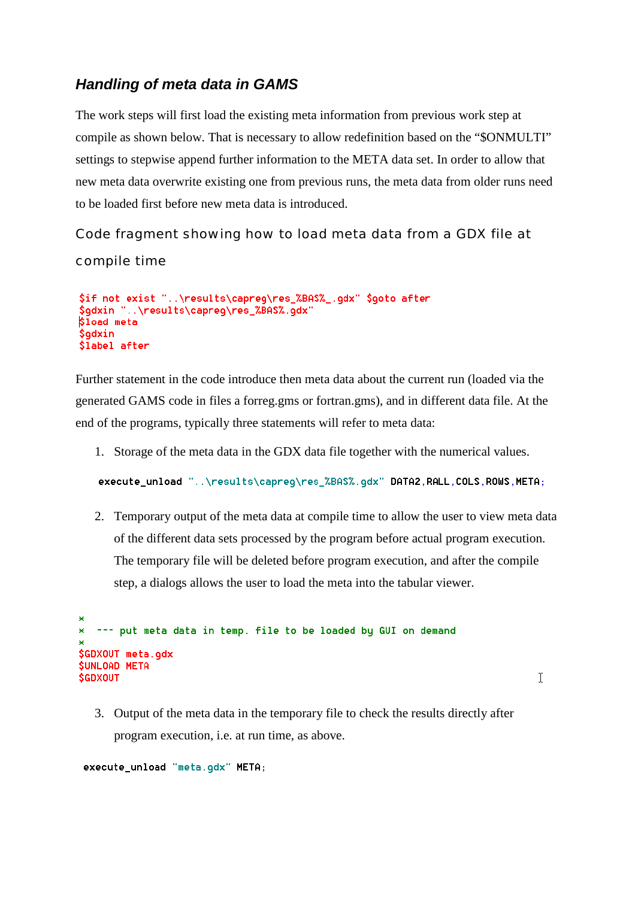### *Handling of meta data in GAMS*

The work steps will first load the existing meta information from previous work step at compile as shown below. That is necessary to allow redefinition based on the "\$ONMULTI" settings to stepwise append further information to the META data set. In order to allow that new meta data overwrite existing one from previous runs, the meta data from older runs need to be loaded first before new meta data is introduced.

Code fragment showing how to load meta data from a GDX file at compile time

```
$if not exist "..\results\capreg\res_%BAS%_.gdx" $goto after
        ..\results\capreq\res_%BAS%.qdx"
$qdxin '
$load meta
Sadxin
$label after
```
Further statement in the code introduce then meta data about the current run (loaded via the generated GAMS code in files a forreg.gms or fortran.gms), and in different data file. At the end of the programs, typically three statements will refer to meta data:

1. Storage of the meta data in the GDX data file together with the numerical values.

execute\_unload "..\results\capreg\res\_%BAS%.gdx" DATA2,RALL,COLS,ROWS,META;

2. Temporary output of the meta data at compile time to allow the user to view meta data of the different data sets processed by the program before actual program execution. The temporary file will be deleted before program execution, and after the compile step, a dialogs allows the user to load the meta into the tabular viewer.

```
\star--- put meta data in temp. file to be loaded by GUI on demand
ag.
$GDXOUT meta.gdx
SUNLOAD META
SGDXOUT
```
T.

3. Output of the meta data in the temporary file to check the results directly after program execution, i.e. at run time, as above.

execute\_unload "meta.gdx" META;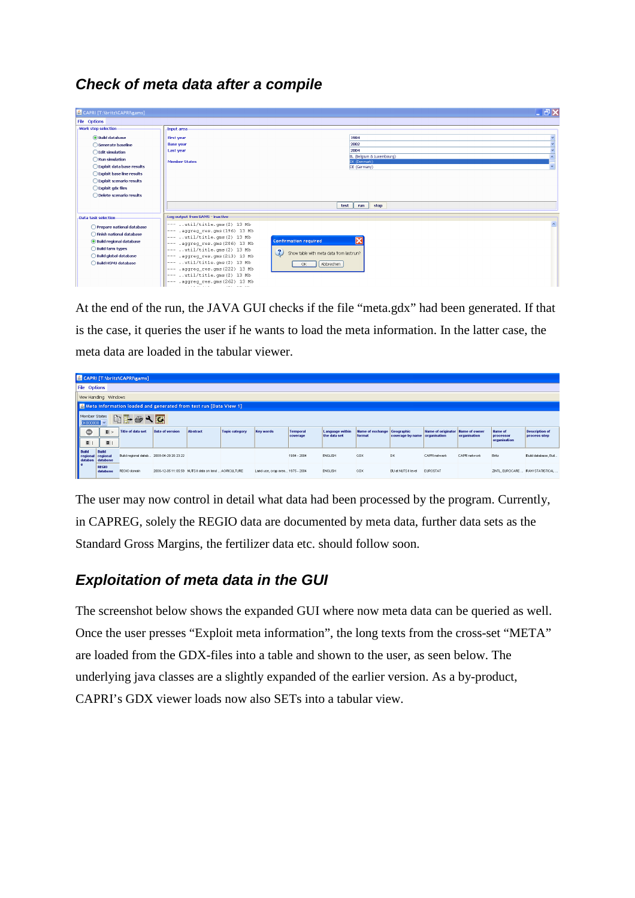### *Check of meta data after a compile*

| <b>S</b> CAPRI [T:\britz\CAPRI\gams] |                                                                            | <b>コヨ×</b>                                                |
|--------------------------------------|----------------------------------------------------------------------------|-----------------------------------------------------------|
| File Options                         |                                                                            |                                                           |
| Work step selection                  | Input area                                                                 |                                                           |
| <b>O</b> Build database              | <b>First year</b>                                                          | 1984                                                      |
| ◯ Generate baseline                  | <b>Base year</b>                                                           | 2002                                                      |
| ◯ Edit simulation                    | Last year                                                                  | 2004                                                      |
|                                      |                                                                            | BL (Belgium & Luxembourg)                                 |
| Run simulation                       | <b>Member States</b>                                                       | DK (Denmark)                                              |
| Exploit data base results            |                                                                            | DE (Germany)                                              |
| ◯ Exploit base line results          |                                                                            |                                                           |
| ◯ Exploit scenario results           |                                                                            |                                                           |
| ◯ Exploit gdx files                  |                                                                            |                                                           |
| ◯ Delete scenario results            |                                                                            |                                                           |
|                                      |                                                                            |                                                           |
|                                      |                                                                            | stop<br>test<br>run                                       |
| Data task selection                  | Log output from GAMS - inactive-                                           |                                                           |
| Prepare national database            | --- util/title.gms(2) 13 Mb                                                |                                                           |
| Finish national database             | --- .aggreg_res.gms(196) 13 Mb                                             |                                                           |
|                                      | $---$ util/title.gms (2) 13 Mb                                             | <b>Confirmation required</b>                              |
| <b>Build regional database</b>       | $---$ .aggreg_res.gms (206) 13 Mb                                          |                                                           |
| Build farm types                     | $---$ util/title.gms (2) 13 Mb                                             | $\frac{2}{2}$<br>Show table with meta data from last run? |
| Build global database                | $---$ .aggreg res.gms (213) 13 Mb                                          |                                                           |
| <b>Build HSMU database</b>           | $---$ util/title.gms (2) 13 Mb                                             | Abbrechen<br>OK                                           |
|                                      | $---$ .aqqreq res.qms (222) 13 Mb                                          |                                                           |
|                                      | $---$ util/title.qms(2) 13 Mb                                              |                                                           |
|                                      | --- .aggreg_res.gms(262) 13 Mb<br>a management of the company of the state |                                                           |

At the end of the run, the JAVA GUI checks if the file "meta.gdx" had been generated. If that is the case, it queries the user if he wants to load the meta information. In the latter case, the meta data are loaded in the tabular viewer.

|                                            |                                                                   | CAPRI [T:\britz\CAPRI\gams]              |                                                       |                 |                       |                                 |                             |                                 |                                              |                               |                                         |               |                                                    |                                       |
|--------------------------------------------|-------------------------------------------------------------------|------------------------------------------|-------------------------------------------------------|-----------------|-----------------------|---------------------------------|-----------------------------|---------------------------------|----------------------------------------------|-------------------------------|-----------------------------------------|---------------|----------------------------------------------------|---------------------------------------|
|                                            | File Options                                                      |                                          |                                                       |                 |                       |                                 |                             |                                 |                                              |                               |                                         |               |                                                    |                                       |
|                                            | View Handling Windows                                             |                                          |                                                       |                 |                       |                                 |                             |                                 |                                              |                               |                                         |               |                                                    |                                       |
|                                            | Meta information loaded and generated from test run [Data View 1] |                                          |                                                       |                 |                       |                                 |                             |                                 |                                              |                               |                                         |               |                                                    |                                       |
|                                            | Member States<br>中子ターで<br><b>DK000000</b>                         |                                          |                                                       |                 |                       |                                 |                             |                                 |                                              |                               |                                         |               |                                                    |                                       |
| ٠<br>$\begin{array}{c} \hline \end{array}$ | E ><br>圓                                                          | Title of data set                        | <b>Date of version</b>                                | <b>Abstract</b> | <b>Topic category</b> | <b>Key words</b>                | <b>Temporal</b><br>coverage | Language within<br>the data set | <b>Hame of exchange Geographic</b><br>format | coverage by name organisation | <b>Hame of originator Hame of owner</b> | organisation  | <b>Name of</b><br><b>processor</b><br>organisation | <b>Description of</b><br>process step |
| <b>Build</b><br>regional<br>databas        | Build<br>regional<br>database                                     | Build regional datab 2008-04-29 20:23:22 |                                                       |                 |                       |                                 | 1984 - 2004                 | ENGLISH                         | GDX                                          | DK.                           | CAPRI network                           | CAPRI network | Britz                                              | Build database, Buil.                 |
| l e                                        | <b>REGIO</b><br>database                                          | REGIO domain                             | 2006-12-05 11:05:59 NUTS II data on land  AGRICULTURE |                 |                       | Land use, crop area 1975 - 2004 |                             | <b>ENGLISH</b>                  | GDX                                          | EU at NUTS II level           | <b>EUROSTAT</b>                         |               | ZINTL, EUROCARE  RAW STATISTICAL                   |                                       |

The user may now control in detail what data had been processed by the program. Currently, in CAPREG, solely the REGIO data are documented by meta data, further data sets as the Standard Gross Margins, the fertilizer data etc. should follow soon.

### *Exploitation of meta data in the GUI*

The screenshot below shows the expanded GUI where now meta data can be queried as well. Once the user presses "Exploit meta information", the long texts from the cross-set "META" are loaded from the GDX-files into a table and shown to the user, as seen below. The underlying java classes are a slightly expanded of the earlier version. As a by-product, CAPRI's GDX viewer loads now also SETs into a tabular view.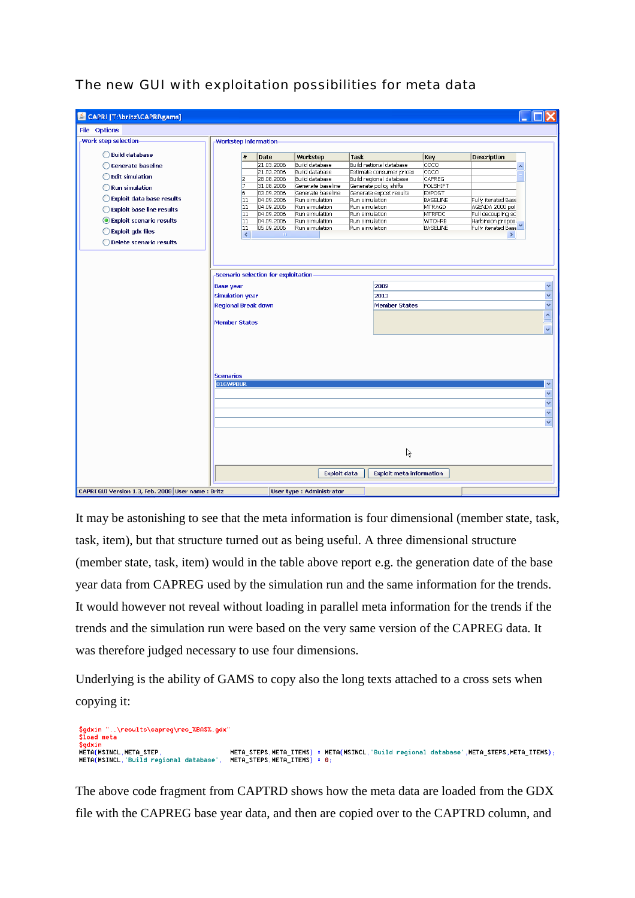The new GUI with exploitation possibilities for meta data

| File Options                 |                                                                              |                                                                        |                |                                           |                                 |                 |                     |
|------------------------------|------------------------------------------------------------------------------|------------------------------------------------------------------------|----------------|-------------------------------------------|---------------------------------|-----------------|---------------------|
|                              |                                                                              |                                                                        |                |                                           |                                 |                 |                     |
| <b>Work step selection</b>   | <b>Workstep information</b>                                                  |                                                                        |                |                                           |                                 |                 |                     |
| ◯ Build database             |                                                                              | #<br>Date                                                              | Workstep       | <b>Task</b>                               |                                 | Key             | <b>Description</b>  |
| ◯ Generate baseline          |                                                                              | 21.03.2006                                                             |                | Build database<br>Build national database |                                 | coco            | ۸                   |
|                              |                                                                              | 21.03.2006                                                             | Build database |                                           | Estimate consumer prices        | COCO            |                     |
| ◯ Edit simulation            |                                                                              | CAPREG<br>Build regional database<br>2<br>28.08.2006<br>Build database |                |                                           |                                 |                 |                     |
| Run simulation               | 7                                                                            | 31.08.2006                                                             |                | Generate baseline                         | Generate policy shifts          | POLSHIFT        |                     |
|                              | 6                                                                            | 03.09.2006                                                             |                | Generate baseline                         | Generate expost results         | <b>EXPOST</b>   |                     |
| Exploit data base results    |                                                                              | 11<br>04.09.2006                                                       | Run simulation |                                           | Run simulation                  | <b>BASELINE</b> | Fully iterated Base |
| ◯ Exploit base line results  |                                                                              | 04.09.2006<br>11                                                       | Run simulation |                                           | Run simulation                  | MTRAGD          | AGENDA 2000 pol     |
|                              |                                                                              | 11<br>04.09.2006                                                       | Run simulation |                                           | Run simulation                  | <b>MTRFDC</b>   | Full decoupling sc  |
| Exploit scenario results     |                                                                              | 11<br>04.09.2006                                                       | Run simulation |                                           | Run simulation                  | <b>WTOHRB</b>   | Harbinson propos.   |
| $\bigcirc$ Exploit gdx files |                                                                              | 11<br>05.09.2006                                                       | Run simulation |                                           | Run simulation                  | <b>BASELINE</b> | Fully iterated Base |
| ◯ Delete scenario results    |                                                                              | $\left\langle \right\rangle$                                           |                |                                           |                                 |                 |                     |
|                              | <b>Simulation year</b><br><b>Regional Break down</b><br><b>Member States</b> |                                                                        |                |                                           | 2013<br><b>Member States</b>    |                 |                     |
|                              |                                                                              |                                                                        |                |                                           |                                 |                 |                     |
|                              | <b>Scenarios</b><br>01GWPBUR                                                 |                                                                        |                |                                           |                                 |                 |                     |
|                              |                                                                              |                                                                        |                |                                           |                                 |                 |                     |
|                              |                                                                              |                                                                        |                |                                           |                                 |                 |                     |
|                              |                                                                              |                                                                        |                |                                           |                                 |                 |                     |
|                              |                                                                              |                                                                        |                |                                           |                                 |                 |                     |
|                              |                                                                              |                                                                        |                |                                           |                                 |                 |                     |
|                              |                                                                              |                                                                        |                |                                           | R                               |                 |                     |
|                              |                                                                              |                                                                        |                | <b>Exploit data</b>                       | <b>Exploit meta information</b> |                 |                     |

It may be astonishing to see that the meta information is four dimensional (member state, task, task, item), but that structure turned out as being useful. A three dimensional structure (member state, task, item) would in the table above report e.g. the generation date of the base year data from CAPREG used by the simulation run and the same information for the trends. It would however not reveal without loading in parallel meta information for the trends if the trends and the simulation run were based on the very same version of the CAPREG data. It was therefore judged necessary to use four dimensions.

Underlying is the ability of GAMS to copy also the long texts attached to a cross sets when copying it:

\$gdxin "..\results\capreg\res\_%BA\$%.gdx"<br>\$load meta \$gdxin<br>\$gdxin<br>META(MSINCL,META\_STEP, 

The above code fragment from CAPTRD shows how the meta data are loaded from the GDX file with the CAPREG base year data, and then are copied over to the CAPTRD column, and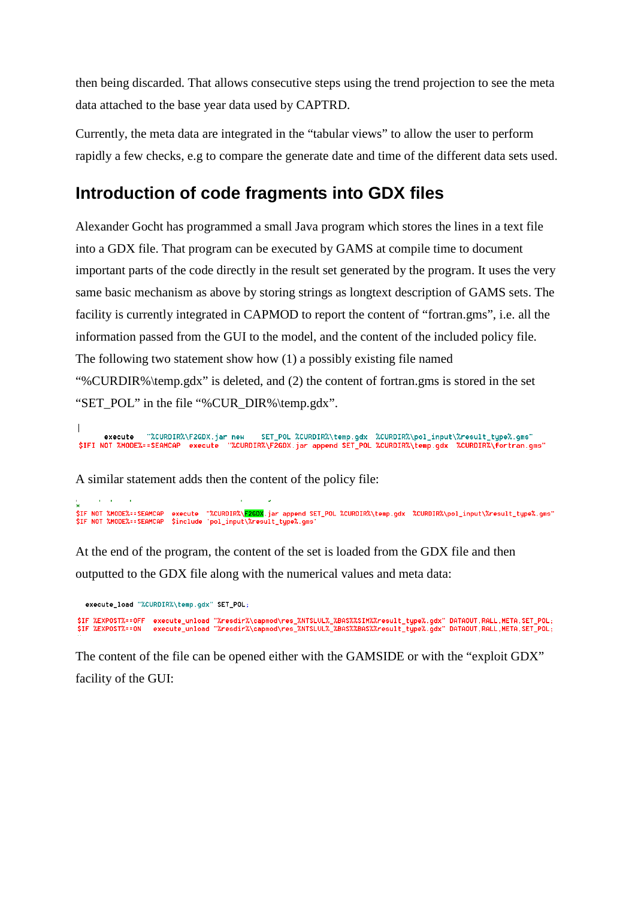then being discarded. That allows consecutive steps using the trend projection to see the meta data attached to the base year data used by CAPTRD.

Currently, the meta data are integrated in the "tabular views" to allow the user to perform rapidly a few checks, e.g to compare the generate date and time of the different data sets used.

### **Introduction of code fragments into GDX files**

Alexander Gocht has programmed a small Java program which stores the lines in a text file into a GDX file. That program can be executed by GAMS at compile time to document important parts of the code directly in the result set generated by the program. It uses the very same basic mechanism as above by storing strings as longtext description of GAMS sets. The facility is currently integrated in CAPMOD to report the content of "fortran.gms", i.e. all the information passed from the GUI to the model, and the content of the included policy file. The following two statement show how (1) a possibly existing file named "%CURDIR%\temp.gdx" is deleted, and (2) the content of fortran.gms is stored in the set "SET\_POL" in the file "%CUR\_DIR%\temp.gdx".

"%CURDIR%\F2GDX.jar new - new SET\_POL %CURDIR%\temp.gdx %CURDIR%\pol\_input\%result\_type%.gms"<br>"%<mark>CURDIR%\F2GDX.jar append SET\_POL %CURDIR%\temp.gdx %CURDIR%\fortran.gms"</mark> execute \$IFI NOT %MODE%==SEAMCAP execute

A similar statement adds then the content of the policy file:

~<br>\$IF NOT %MODE%==SEAMCAP execute "%CURDIR%\<mark>E2GDX</mark>.jar append SET\_POL %CURDIR%\temp.gdx %CURDIR%\pol\_input\%result\_type%.gms"<br>\$IF NOT %MODE%==SEAMCAP \$include 'pol\_input\%result\_type%.gms'

At the end of the program, the content of the set is loaded from the GDX file and then outputted to the GDX file along with the numerical values and meta data:

execute\_load "%CURDIR%\temp.gdx" SET\_POL; \$IF %EXPOST%==OFF execute\_unload "<mark>%resdir%\capmod\res\_%NTSLUL%\_%BAS%%SIM%%result\_type%.gdx" DATAOUT,RALL,META,SET\_POL;</mark><br>\$IF %EXPOST%==ON execute\_unload "%resdir%\capmod\res\_%NTSLUL%\_%BAS%%BAS%%result\_type%.gdx" DATAOUT,RA

The content of the file can be opened either with the GAMSIDE or with the "exploit GDX" facility of the GUI: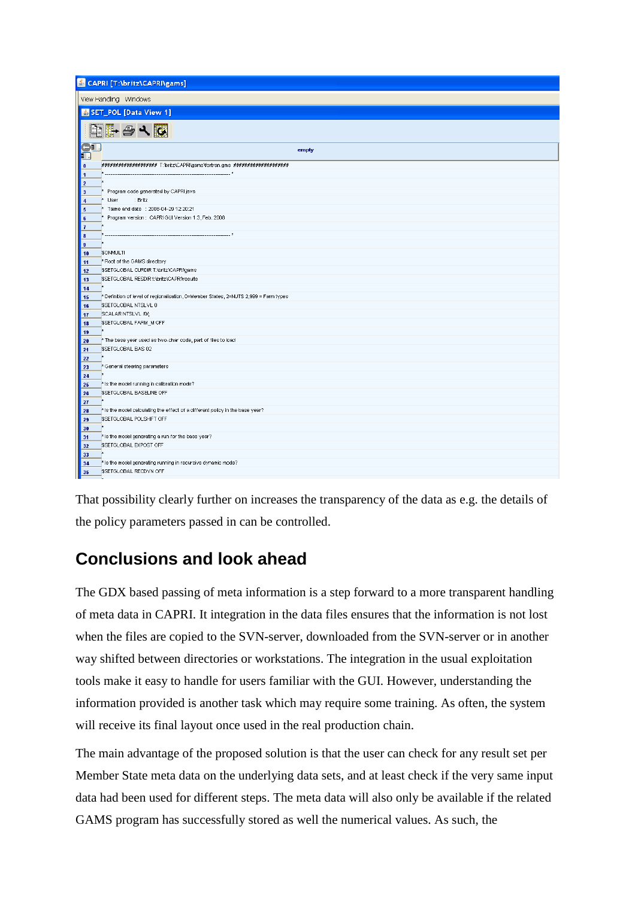|                           | CAPRI [T:\britz\CAPRI\gams]                                                          |
|---------------------------|--------------------------------------------------------------------------------------|
|                           | View Handling Windows                                                                |
|                           | SET_POL [Data View 1]                                                                |
|                           | <b>DHAVE</b>                                                                         |
| $\mathbf{S}^{\mathbf{D}}$ | empty                                                                                |
| $\pmb{\mathfrak{g}}$      |                                                                                      |
| $\overline{\mathbf{1}}$   |                                                                                      |
| $\overline{2}$            |                                                                                      |
| $\overline{\mathbf{3}}$   | Program code generated by CAPRI java                                                 |
| $\overline{4}$            | User<br>: Britz                                                                      |
| $\sqrt{5}$                | Taime and date : 2008-04-29 12:20:21                                                 |
| $\bf{6}$                  | Program version: CAPRI GUI Version 1.3, Feb. 2008                                    |
| $\mathbf{7}$              |                                                                                      |
| $\bf8$<br>9               |                                                                                      |
| 10                        | \$ONMULTI                                                                            |
| 11                        | * Root of the GAMS directory                                                         |
| 12                        | \$SETGLOBAL CURDIR T:\britz\CAPRI\gams                                               |
| 13                        | \$SETGLOBAL RESDIR t:\britz\CAPRI\results                                            |
| 14                        |                                                                                      |
| 15                        | * Definition of level of regionalisation, 0=Member States, 2=NUTS 2,999 = Farm types |
| 16                        | \$SETGLOBAL NTSLVL 0                                                                 |
| 17                        | SCALAR NTSLVL /0/;                                                                   |
| 18                        | \$SETGLOBAL FARM_M OFF                                                               |
| 19                        |                                                                                      |
| 20                        | * The base year used as two-char code, part of files to load                         |
| 21                        | \$SETGLOBAL BAS 02                                                                   |
| 22                        |                                                                                      |
| 23                        | * General steering parameters                                                        |
| 24<br>25                  | * Is the model running in calibration mode?                                          |
| 26                        | \$SETGLOBAL BASELINE OFF                                                             |
| 27                        |                                                                                      |
| 28                        | * Is the model calculating the effect of a different policy in the base year?        |
| 29                        | \$SETGLOBAL POLSHIFT OFF                                                             |
| 30                        |                                                                                      |
| 31                        | * Is the model generating a run for the base year?                                   |
| 32                        | \$SETGLOBAL EXPOST OFF                                                               |
| 33                        |                                                                                      |
| 34                        | * Is the model generating running in recursive dynamic mode?                         |
| 35                        | SSETGLOBAL RECDYN OFF                                                                |
|                           |                                                                                      |

That possibility clearly further on increases the transparency of the data as e.g. the details of the policy parameters passed in can be controlled.

# **Conclusions and look ahead**

The GDX based passing of meta information is a step forward to a more transparent handling of meta data in CAPRI. It integration in the data files ensures that the information is not lost when the files are copied to the SVN-server, downloaded from the SVN-server or in another way shifted between directories or workstations. The integration in the usual exploitation tools make it easy to handle for users familiar with the GUI. However, understanding the information provided is another task which may require some training. As often, the system will receive its final layout once used in the real production chain.

The main advantage of the proposed solution is that the user can check for any result set per Member State meta data on the underlying data sets, and at least check if the very same input data had been used for different steps. The meta data will also only be available if the related GAMS program has successfully stored as well the numerical values. As such, the